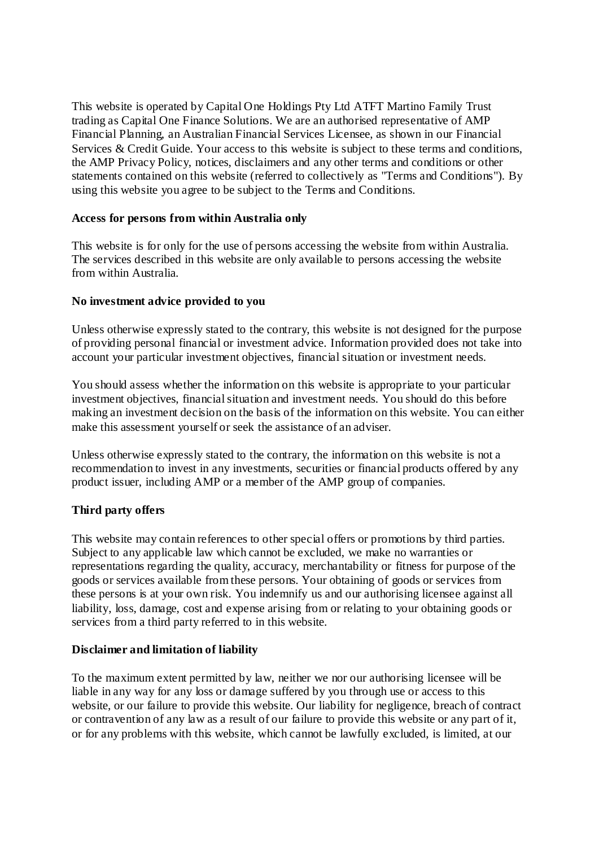This website is operated by Capital One Holdings Pty Ltd ATFT Martino Family Trust trading as Capital One Finance Solutions. We are an authorised representative of AMP Financial Planning, an Australian Financial Services Licensee, as shown in our Financial Services & Credit Guide. Your access to this website is subject to these terms and conditions, the AMP Privacy Policy, notices, disclaimers and any other terms and conditions or other statements contained on this website (referred to collectively as "Terms and Conditions"). By using this website you agree to be subject to the Terms and Conditions.

# **Access for persons from within Australia only**

This website is for only for the use of persons accessing the website from within Australia. The services described in this website are only available to persons accessing the website from within Australia.

# **No investment advice provided to you**

Unless otherwise expressly stated to the contrary, this website is not designed for the purpose of providing personal financial or investment advice. Information provided does not take into account your particular investment objectives, financial situation or investment needs.

You should assess whether the information on this website is appropriate to your particular investment objectives, financial situation and investment needs. You should do this before making an investment decision on the basis of the information on this website. You can either make this assessment yourself or seek the assistance of an adviser.

Unless otherwise expressly stated to the contrary, the information on this website is not a recommendation to invest in any investments, securities or financial products offered by any product issuer, including AMP or a member of the AMP group of companies.

# **Third party offers**

This website may contain references to other special offers or promotions by third parties. Subject to any applicable law which cannot be excluded, we make no warranties or representations regarding the quality, accuracy, merchantability or fitness for purpose of the goods or services available from these persons. Your obtaining of goods or services from these persons is at your own risk. You indemnify us and our authorising licensee against all liability, loss, damage, cost and expense arising from or relating to your obtaining goods or services from a third party referred to in this website.

# **Disclaimer and limitation of liability**

To the maximum extent permitted by law, neither we nor our authorising licensee will be liable in any way for any loss or damage suffered by you through use or access to this website, or our failure to provide this website. Our liability for negligence, breach of contract or contravention of any law as a result of our failure to provide this website or any part of it, or for any problems with this website, which cannot be lawfully excluded, is limited, at our